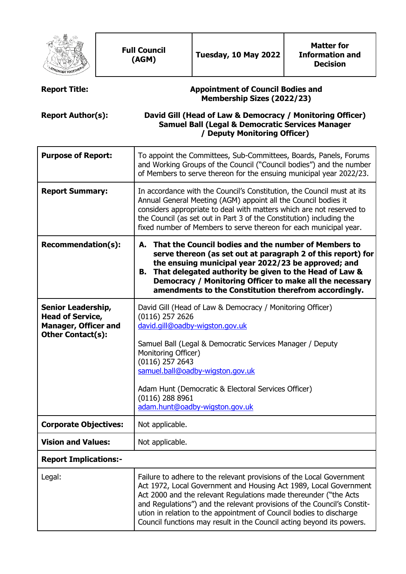| ONGER TOGE                                                                                                                                                                                                                                                                                                                                                                                                                                                                               |  | <b>Full Council</b><br>(AGM)                                                                                                                                                                                                                                                                                                                                                                                                             | Tuesday, 10 May 2022 | <b>Matter for</b><br><b>Information and</b><br><b>Decision</b> |  |  |
|------------------------------------------------------------------------------------------------------------------------------------------------------------------------------------------------------------------------------------------------------------------------------------------------------------------------------------------------------------------------------------------------------------------------------------------------------------------------------------------|--|------------------------------------------------------------------------------------------------------------------------------------------------------------------------------------------------------------------------------------------------------------------------------------------------------------------------------------------------------------------------------------------------------------------------------------------|----------------------|----------------------------------------------------------------|--|--|
| <b>Report Title:</b>                                                                                                                                                                                                                                                                                                                                                                                                                                                                     |  | <b>Appointment of Council Bodies and</b><br><b>Membership Sizes (2022/23)</b>                                                                                                                                                                                                                                                                                                                                                            |                      |                                                                |  |  |
| <b>Report Author(s):</b>                                                                                                                                                                                                                                                                                                                                                                                                                                                                 |  | David Gill (Head of Law & Democracy / Monitoring Officer)<br><b>Samuel Ball (Legal &amp; Democratic Services Manager</b><br>/ Deputy Monitoring Officer)                                                                                                                                                                                                                                                                                 |                      |                                                                |  |  |
| <b>Purpose of Report:</b>                                                                                                                                                                                                                                                                                                                                                                                                                                                                |  | To appoint the Committees, Sub-Committees, Boards, Panels, Forums<br>and Working Groups of the Council ("Council bodies") and the number<br>of Members to serve thereon for the ensuing municipal year 2022/23.                                                                                                                                                                                                                          |                      |                                                                |  |  |
| <b>Report Summary:</b>                                                                                                                                                                                                                                                                                                                                                                                                                                                                   |  | In accordance with the Council's Constitution, the Council must at its<br>Annual General Meeting (AGM) appoint all the Council bodies it<br>considers appropriate to deal with matters which are not reserved to<br>the Council (as set out in Part 3 of the Constitution) including the<br>fixed number of Members to serve thereon for each municipal year.                                                                            |                      |                                                                |  |  |
| <b>Recommendation(s):</b>                                                                                                                                                                                                                                                                                                                                                                                                                                                                |  | That the Council bodies and the number of Members to<br>А.<br>serve thereon (as set out at paragraph 2 of this report) for<br>the ensuing municipal year 2022/23 be approved; and<br>That delegated authority be given to the Head of Law &<br>В.<br>Democracy / Monitoring Officer to make all the necessary<br>amendments to the Constitution therefrom accordingly.                                                                   |                      |                                                                |  |  |
| David Gill (Head of Law & Democracy / Monitoring Officer)<br>Senior Leadership,<br><b>Head of Service,</b><br>$(0116)$ 257 2626<br><b>Manager, Officer and</b><br>david.gill@oadby-wigston.gov.uk<br><b>Other Contact(s):</b><br>Samuel Ball (Legal & Democratic Services Manager / Deputy<br>Monitoring Officer)<br>$(0116)$ 257 2643<br>samuel.ball@oadby-wigston.gov.uk<br>Adam Hunt (Democratic & Electoral Services Officer)<br>$(0116)$ 288 8961<br>adam.hunt@oadby-wigston.gov.uk |  |                                                                                                                                                                                                                                                                                                                                                                                                                                          |                      |                                                                |  |  |
| <b>Corporate Objectives:</b>                                                                                                                                                                                                                                                                                                                                                                                                                                                             |  | Not applicable.                                                                                                                                                                                                                                                                                                                                                                                                                          |                      |                                                                |  |  |
| <b>Vision and Values:</b>                                                                                                                                                                                                                                                                                                                                                                                                                                                                |  | Not applicable.                                                                                                                                                                                                                                                                                                                                                                                                                          |                      |                                                                |  |  |
| <b>Report Implications:-</b>                                                                                                                                                                                                                                                                                                                                                                                                                                                             |  |                                                                                                                                                                                                                                                                                                                                                                                                                                          |                      |                                                                |  |  |
| Legal:                                                                                                                                                                                                                                                                                                                                                                                                                                                                                   |  | Failure to adhere to the relevant provisions of the Local Government<br>Act 1972, Local Government and Housing Act 1989, Local Government<br>Act 2000 and the relevant Regulations made thereunder ("the Acts<br>and Regulations") and the relevant provisions of the Council's Constit-<br>ution in relation to the appointment of Council bodies to discharge<br>Council functions may result in the Council acting beyond its powers. |                      |                                                                |  |  |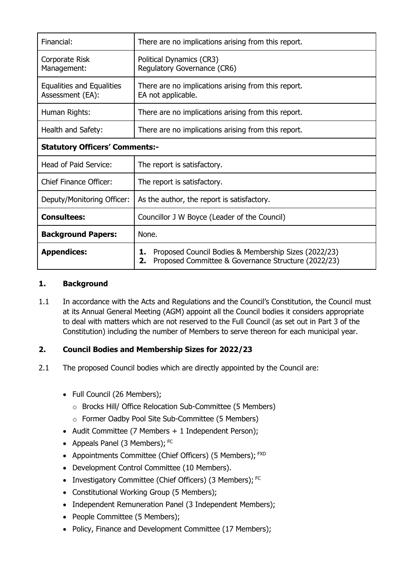| Financial:                                    | There are no implications arising from this report.                                                                     |  |  |  |
|-----------------------------------------------|-------------------------------------------------------------------------------------------------------------------------|--|--|--|
| Corporate Risk<br>Management:                 | Political Dynamics (CR3)<br>Regulatory Governance (CR6)                                                                 |  |  |  |
| Equalities and Equalities<br>Assessment (EA): | There are no implications arising from this report.<br>EA not applicable.                                               |  |  |  |
| Human Rights:                                 | There are no implications arising from this report.                                                                     |  |  |  |
| Health and Safety:                            | There are no implications arising from this report.                                                                     |  |  |  |
| <b>Statutory Officers' Comments:-</b>         |                                                                                                                         |  |  |  |
| Head of Paid Service:                         | The report is satisfactory.                                                                                             |  |  |  |
| <b>Chief Finance Officer:</b>                 | The report is satisfactory.                                                                                             |  |  |  |
| Deputy/Monitoring Officer:                    | As the author, the report is satisfactory.                                                                              |  |  |  |
| <b>Consultees:</b>                            | Councillor J W Boyce (Leader of the Council)                                                                            |  |  |  |
| <b>Background Papers:</b>                     | None.                                                                                                                   |  |  |  |
| <b>Appendices:</b>                            | Proposed Council Bodies & Membership Sizes (2022/23)<br>1.<br>Proposed Committee & Governance Structure (2022/23)<br>2. |  |  |  |

### **1. Background**

1.1 In accordance with the Acts and Regulations and the Council's Constitution, the Council must at its Annual General Meeting (AGM) appoint all the Council bodies it considers appropriate to deal with matters which are not reserved to the Full Council (as set out in Part 3 of the Constitution) including the number of Members to serve thereon for each municipal year.

## **2. Council Bodies and Membership Sizes for 2022/23**

- 2.1 The proposed Council bodies which are directly appointed by the Council are:
	- Full Council (26 Members):
		- o Brocks Hill/ Office Relocation Sub-Committee (5 Members)
		- o Former Oadby Pool Site Sub-Committee (5 Members)
	- Audit Committee (7 Members + 1 Independent Person);
	- Appeals Panel (3 Members);  $FC$
	- Appointments Committee (Chief Officers) (5 Members); FXD
	- Development Control Committee (10 Members).
	- Investigatory Committee (Chief Officers) (3 Members); FC
	- Constitutional Working Group (5 Members);
	- Independent Remuneration Panel (3 Independent Members);
	- People Committee (5 Members);
	- Policy, Finance and Development Committee (17 Members);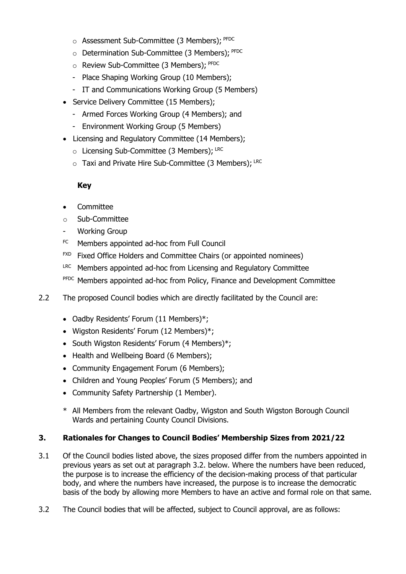- o Assessment Sub-Committee (3 Members); PFDC
- $\circ$  Determination Sub-Committee (3 Members);  $P FDC$
- $\circ$  Review Sub-Committee (3 Members); PFDC
- Place Shaping Working Group (10 Members);
- IT and Communications Working Group (5 Members)
- Service Delivery Committee (15 Members);
	- Armed Forces Working Group (4 Members); and
	- Environment Working Group (5 Members)
- Licensing and Regulatory Committee (14 Members);
	- o Licensing Sub-Committee (3 Members): LRC
	- $\circ$  Taxi and Private Hire Sub-Committee (3 Members); LRC

#### **Key**

- Committee
- o Sub-Committee
- Working Group
- FC Members appointed ad-hoc from Full Council
- FXD Fixed Office Holders and Committee Chairs (or appointed nominees)
- LRC Members appointed ad-hoc from Licensing and Regulatory Committee
- PFDC Members appointed ad-hoc from Policy, Finance and Development Committee
- 2.2 The proposed Council bodies which are directly facilitated by the Council are:
	- Oadby Residents' Forum (11 Members)\*;
	- Wigston Residents' Forum (12 Members)\*;
	- South Wigston Residents' Forum (4 Members)\*;
	- Health and Wellbeing Board (6 Members):
	- Community Engagement Forum (6 Members);
	- Children and Young Peoples' Forum (5 Members); and
	- Community Safety Partnership (1 Member).
	- \* All Members from the relevant Oadby, Wigston and South Wigston Borough Council Wards and pertaining County Council Divisions.

#### **3. Rationales for Changes to Council Bodies' Membership Sizes from 2021/22**

- 3.1 Of the Council bodies listed above, the sizes proposed differ from the numbers appointed in previous years as set out at paragraph 3.2. below. Where the numbers have been reduced, the purpose is to increase the efficiency of the decision-making process of that particular body, and where the numbers have increased, the purpose is to increase the democratic basis of the body by allowing more Members to have an active and formal role on that same.
- 3.2 The Council bodies that will be affected, subject to Council approval, are as follows: